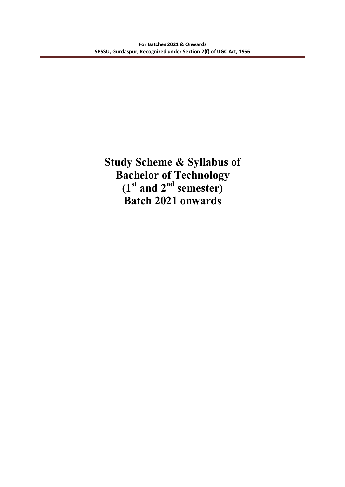**Study Scheme & Syllabus of Bachelor of Technology (1st and 2nd semester) Batch 2021 onwards**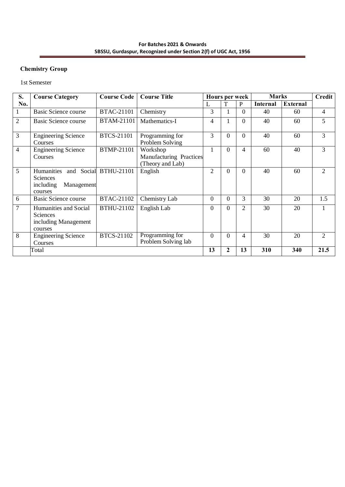#### **For Batches 2021 & Onwards SBSSU, Gurdaspur, Recognized under Section 2(f) of UGC Act, 1956**

# **Chemistry Group**

1st Semester

| S.             | <b>Course Category</b>                                                      | <b>Course Code</b>    | <b>Course Title</b>                                     |                  | Hours per week |                | <b>Marks</b>    |                 | <b>Credit</b>               |
|----------------|-----------------------------------------------------------------------------|-----------------------|---------------------------------------------------------|------------------|----------------|----------------|-----------------|-----------------|-----------------------------|
| No.            |                                                                             |                       |                                                         |                  | T              | P              | <b>Internal</b> | <b>External</b> |                             |
|                | <b>Basic Science course</b>                                                 | <b>BTAC-21101</b>     | Chemistry                                               | 3                |                | $\Omega$       | 40              | 60              | 4                           |
| $\overline{2}$ | Basic Science course                                                        | BTAM-21101            | Mathematics-I                                           | 4                |                | $\Omega$       | 40              | 60              | 5                           |
| 3              | <b>Engineering Science</b><br>Courses                                       | <b>BTCS-21101</b>     | Programming for<br>Problem Solving                      | 3                | $\Omega$       | $\Omega$       | 40              | 60              | 3                           |
| $\overline{4}$ | <b>Engineering Science</b><br>Courses                                       | <b>BTMP-21101</b>     | Workshop<br>Manufacturing Practices<br>(Theory and Lab) |                  | $\Omega$       | 4              | 60              | 40              | 3                           |
| 5              | Humanities<br><b>Sciences</b><br>including<br>Management<br>courses         | and Social BTHU-21101 | English                                                 | $\overline{2}$   | $\Omega$       | $\Omega$       | 40              | 60              | $\mathcal{D}_{\mathcal{L}}$ |
| 6              | <b>Basic Science course</b>                                                 | BTAC-21102            | Chemistry Lab                                           | $\Omega$         | $\Omega$       | $\overline{3}$ | 30              | 20              | 1.5                         |
| 7              | Humanities and Social<br><b>Sciences</b><br>including Management<br>courses | BTHU-21102            | English Lab                                             | $\boldsymbol{0}$ | $\Omega$       | 2              | 30              | 20              |                             |
| 8              | <b>Engineering Science</b><br>Courses                                       | BTCS-21102            | Programming for<br>Problem Solving lab                  | $\overline{0}$   | $\Omega$       | 4              | 30              | 20              | $\overline{2}$              |
|                | Total                                                                       |                       |                                                         | 13               | $\mathbf{2}$   | 13             | 310             | 340             | 21.5                        |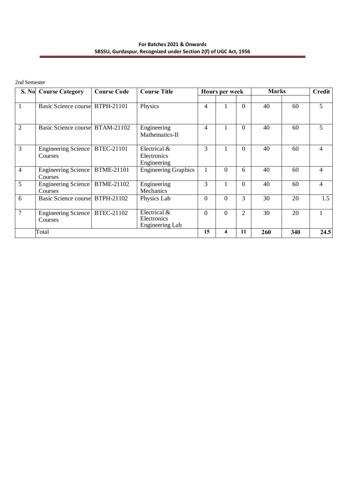#### **For Batches 2021 & Onwards SBSSU, Gurdaspur, Recognized under Section 2(f) of UGC Act, 1956**

#### 2nd Semester

|                | S. No Course Category           | <b>Course Code</b> | <b>Course Title</b>         |          | <b>Hours per week</b> |                | <b>Marks</b> |     | <b>Credit</b> |
|----------------|---------------------------------|--------------------|-----------------------------|----------|-----------------------|----------------|--------------|-----|---------------|
|                |                                 |                    |                             |          |                       |                |              |     |               |
|                | Basic Science course BTPH-21101 |                    | Physics                     | 4        |                       | $\overline{0}$ | 40           | 60  | 5             |
|                |                                 |                    |                             |          |                       |                |              |     |               |
| $\overline{2}$ | Basic Science course BTAM-21102 |                    | Engineering                 | 4        |                       | $\overline{0}$ | 40           | 60  | 5             |
|                |                                 |                    | Mathematics-II              |          |                       |                |              |     |               |
| 3              | Engineering Science             | BTEC-21101         | Electrical &                | 3        |                       | $\overline{0}$ | 40           | 60  | 4             |
|                | Courses                         |                    | Electronics                 |          |                       |                |              |     |               |
|                |                                 |                    | Engineering                 |          |                       |                |              |     |               |
| $\overline{4}$ | Engineering Science<br>Courses  | <b>BTME-21101</b>  | <b>Engineering Graphics</b> |          | $\overline{0}$        | 6              | 40           | 60  | 4             |
| 5              | Engineering Science             | BTME-21102         | Engineering                 | 3        | 1                     | $\Omega$       | 40           | 60  | 4             |
|                | Courses                         |                    | Mechanics                   |          |                       |                |              |     |               |
| 6              | Basic Science course BTPH-21102 |                    | Physics Lab                 | $\Omega$ | $\Omega$              | 3              | 30           | 20  | 1.5           |
|                |                                 |                    |                             |          |                       |                |              |     |               |
| $\overline{7}$ | Engineering Science             | BTEC-21102         | Electrical &                | $\Omega$ | $\Omega$              | $\overline{2}$ | 30           | 20  |               |
|                | Courses                         |                    | Electronics                 |          |                       |                |              |     |               |
|                |                                 |                    | Engineering Lab             |          |                       |                |              |     |               |
|                | Total                           |                    |                             | 15       | 4                     | 11             | 260          | 340 | 24.5          |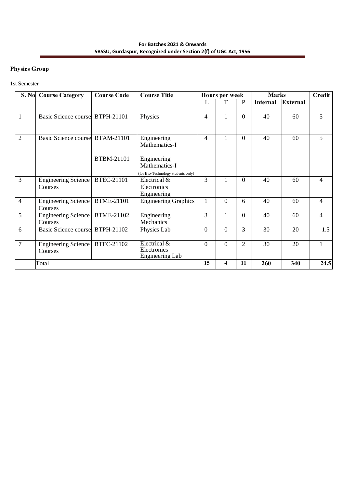# **Physics Group**

#### 1st Semester

|                | S. No Course Category                       | <b>Course Code</b> | <b>Course Title</b>                                          |                | <b>Hours per week</b> |                | <b>Marks</b>    |                 | Credit         |
|----------------|---------------------------------------------|--------------------|--------------------------------------------------------------|----------------|-----------------------|----------------|-----------------|-----------------|----------------|
|                |                                             |                    |                                                              | L              |                       | P              | <b>Internal</b> | <b>External</b> |                |
| 1              | Basic Science course BTPH-21101             |                    | Physics                                                      | 4              |                       | $\Omega$       | 40              | 60              | 5              |
| $\overline{2}$ | Basic Science course BTAM-21101             | BTBM-21101         | Engineering<br>Mathematics-I<br>Engineering<br>Mathematics-I | $\overline{4}$ |                       | $\Omega$       | 40              | 60              | 5              |
|                |                                             |                    | (for Bio-Technology students only)                           |                |                       |                |                 |                 |                |
| 3              | Engineering Science<br>Courses              | <b>BTEC-21101</b>  | Electrical &<br>Electronics<br>Engineering                   | 3              |                       | $\Omega$       | 40              | 60              | 4              |
| $\overline{4}$ | Engineering Science   BTME-21101<br>Courses |                    | <b>Engineering Graphics</b>                                  |                | $\Omega$              | 6              | 40              | 60              | $\overline{4}$ |
| 5              | Engineering Science   BTME-21102<br>Courses |                    | Engineering<br>Mechanics                                     | 3              | 1                     | $\Omega$       | 40              | 60              | $\overline{4}$ |
| 6              | Basic Science course BTPH-21102             |                    | Physics Lab                                                  | $\Omega$       | $\Omega$              | 3              | 30              | 20              | 1.5            |
| $\overline{7}$ | Engineering Science<br>Courses              | BTEC-21102         | Electrical &<br>Electronics<br>Engineering Lab               | $\Omega$       | $\Omega$              | $\overline{2}$ | 30              | 20              |                |
|                | Total                                       |                    |                                                              | 15             | 4                     | 11             | 260             | 340             | 24.5           |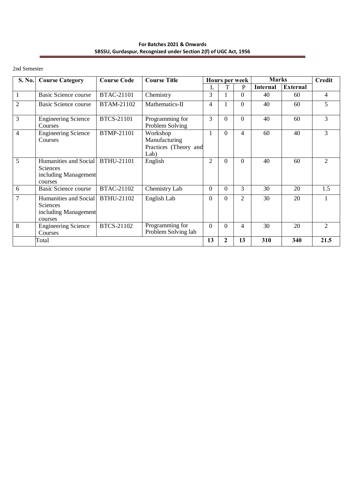**For Batches 2021 & Onwards SBSSU, Gurdaspur, Recognized under Section 2(f) of UGC Act, 1956**

2nd Semester

| S. No.         | <b>Course Category</b>                                               | <b>Course Code</b> | <b>Course Title</b>                                        |                |          | <b>Hours per week</b> | <b>Marks</b>    |                 | <b>Credit</b>               |
|----------------|----------------------------------------------------------------------|--------------------|------------------------------------------------------------|----------------|----------|-----------------------|-----------------|-----------------|-----------------------------|
|                |                                                                      |                    |                                                            |                | T        | P                     | <b>Internal</b> | <b>External</b> |                             |
| 1              | <b>Basic Science course</b>                                          | <b>BTAC-21101</b>  | Chemistry                                                  | 3              |          | $\Omega$              | 40              | 60              | $\overline{4}$              |
| $\overline{2}$ | <b>Basic Science course</b>                                          | BTAM-21102         | Mathematics-II                                             | 4              |          | $\Omega$              | 40              | 60              | 5                           |
| 3              | <b>Engineering Science</b><br>Courses                                | <b>BTCS-21101</b>  | Programming for<br>Problem Solving                         | 3              | $\Omega$ | $\Omega$              | 40              | 60              | 3                           |
| 4              | <b>Engineering Science</b><br>Courses                                | <b>BTMP-21101</b>  | Workshop<br>Manufacturing<br>Practices (Theory and<br>Lab) |                | 0        | 4                     | 60              | 40              | 3                           |
| 5              | Humanities and Social<br>Sciences<br>including Management<br>courses | <b>BTHU-21101</b>  | English                                                    | $\overline{2}$ | 0        | 0                     | 40              | 60              | $\mathcal{D}_{\mathcal{L}}$ |
| 6              | <b>Basic Science course</b>                                          | <b>BTAC-21102</b>  | Chemistry Lab                                              | $\Omega$       | $\Omega$ | 3                     | 30              | 20              | 1.5                         |
| 7              | Humanities and Social<br>Sciences<br>including Management<br>courses | BTHU-21102         | English Lab                                                | $\Omega$       | $\Omega$ | $\overline{2}$        | 30              | 20              | $\mathbf{1}$                |
| 8              | <b>Engineering Science</b><br>Courses                                | BTCS-21102         | Programming for<br>Problem Solving lab                     | $\Omega$       | $\Omega$ | 4                     | 30              | 20              | $\mathfrak{D}$              |
|                | Total                                                                |                    |                                                            | 13             | 2        | 13                    | 310             | 340             | 21.5                        |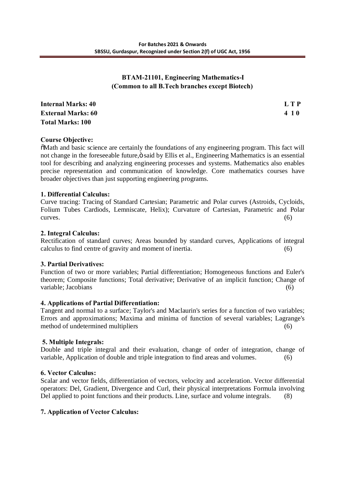# **BTAM-21101, Engineering Mathematics-I (Common to all B.Tech branches except Biotech)**

| <b>Internal Marks: 40</b> | L T P |
|---------------------------|-------|
| <b>External Marks: 60</b> | 410   |
| <b>Total Marks: 100</b>   |       |

### **Course Objective:**

"Math and basic science are certainly the foundations of any engineering program. This fact will not change in the foreseeable future,  $\ddot{\text{o}}$  said by Ellis et al., Engineering Mathematics is an essential tool for describing and analyzing engineering processes and systems. Mathematics also enables precise representation and communication of knowledge. Core mathematics courses have broader objectives than just supporting engineering programs.

## **1. Differential Calculus:**

Curve tracing: Tracing of Standard Cartesian; Parametric and Polar curves (Astroids, Cycloids, Folium Tubes Cardiods, Lemniscate, Helix); Curvature of Cartesian, Parametric and Polar  $curves.$  (6)

### **2. Integral Calculus:**

Rectification of standard curves; Areas bounded by standard curves, Applications of integral calculus to find centre of gravity and moment of inertia. (6)

### **3. Partial Derivatives:**

Function of two or more variables; Partial differentiation; Homogeneous functions and Euler's theorem; Composite functions; Total derivative; Derivative of an implicit function; Change of variable; Jacobians (6) (6)

### **4. Applications of Partial Differentiation:**

Tangent and normal to a surface; Taylor's and Maclaurin's series for a function of two variables; Errors and approximations; Maxima and minima of function of several variables; Lagrange's method of undetermined multipliers (6)

### **5. Multiple Integrals:**

Double and triple integral and their evaluation, change of order of integration, change of variable, Application of double and triple integration to find areas and volumes. (6)

### **6. Vector Calculus:**

Scalar and vector fields, differentiation of vectors, velocity and acceleration. Vector differential operators: Del, Gradient, Divergence and Curl, their physical interpretations Formula involving Del applied to point functions and their products. Line, surface and volume integrals. (8)

### **7. Application of Vector Calculus:**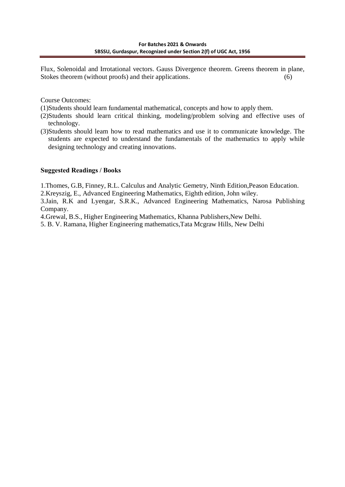Flux, Solenoidal and Irrotational vectors. Gauss Divergence theorem. Greens theorem in plane, Stokes theorem (without proofs) and their applications. (6)

Course Outcomes:

(1)Students should learn fundamental mathematical, concepts and how to apply them.

- (2)Students should learn critical thinking, modeling/problem solving and effective uses of technology.
- (3)Students should learn how to read mathematics and use it to communicate knowledge. The students are expected to understand the fundamentals of the mathematics to apply while designing technology and creating innovations.

## **Suggested Readings / Books**

1.Thomes, G.B, Finney, R.L. Calculus and Analytic Gemetry, Ninth Edition,Peason Education.

2.Kreyszig, E., Advanced Engineering Mathematics, Eighth edition, John wiley.

3.Jain, R.K and Lyengar, S.R.K., Advanced Engineering Mathematics, Narosa Publishing Company.

4.Grewal, B.S., Higher Engineering Mathematics, Khanna Publishers,New Delhi.

5. B. V. Ramana, Higher Engineering mathematics,Tata Mcgraw Hills, New Delhi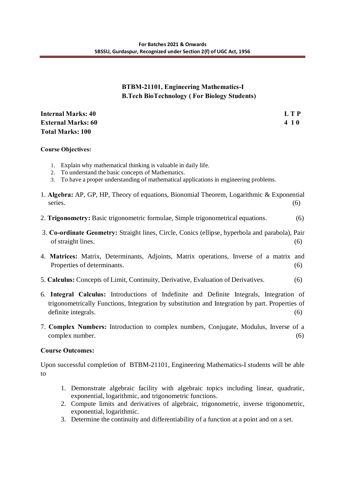# **BTBM-21101, Engineering Mathematics-I B.Tech BioTechnology ( For Biology Students)**

**Internal Marks: 40 L T P External Marks: 60 4 1 0 Total Marks: 100**

### **Course Objectives:**

- 1. Explain why mathematical thinking is valuable in daily life.
- 2. To understand the basic concepts of Mathematics.
- 3. To have a proper understanding of mathematical applications in engineering problems.
- 1. **Algebra:** AP, GP, HP, Theory of equations, Bionomial Theorem, Logarithmic & Exponential series. (6)
- 2. **Trigonometry:** Basic trigonometric formulae, Simple trigonometrical equations. (6)
- 3. **Co-ordinate Geometry:** Straight lines, Circle, Conics (ellipse, hyperbola and parabola), Pair of straight lines.  $(6)$
- 4. **Matrices:** Matrix, Determinants, Adjoints, Matrix operations, Inverse of a matrix and Properties of determinants. (6)
- 5. **Calculus:** Concepts of Limit, Continuity, Derivative, Evaluation of Derivatives. (6)
- 6. **Integral Calculus:** Introductions of Indefinite and Definite Integrals, Integration of trigonometrically Functions, Integration by substitution and Integration by part. Properties of definite integrals. (6)
- 7. **Complex Numbers:** Introduction to complex numbers, Conjugate, Modulus, Inverse of a complex number. (6)

# **Course Outcomes:**

Upon successful completion of BTBM-21101, Engineering Mathematics-I students will be able to

- 1. Demonstrate algebraic facility with algebraic topics including linear, quadratic, exponential, logarithmic, and trigonometric functions.
- 2. Compute limits and derivatives of algebraic, trigonometric, inverse trigonometric, exponential, logarithmic.
- 3. Determine the continuity and differentiability of a function at a point and on a set.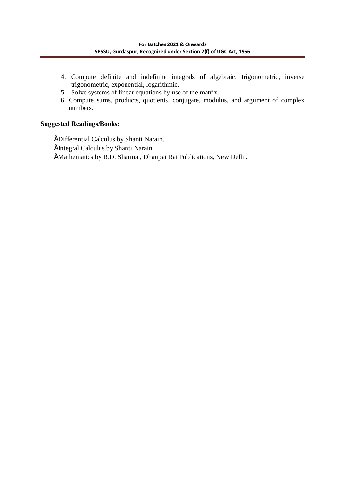- 4. Compute definite and indefinite integrals of algebraic, trigonometric, inverse trigonometric, exponential, logarithmic.
- 5. Solve systems of linear equations by use of the matrix.
- 6. Compute sums, products, quotients, conjugate, modulus, and argument of complex numbers.

# **Suggested Readings/Books:**

 • Differential Calculus by Shanti Narain. • Integral Calculus by Shanti Narain. • Mathematics by R.D. Sharma , Dhanpat Rai Publications, New Delhi.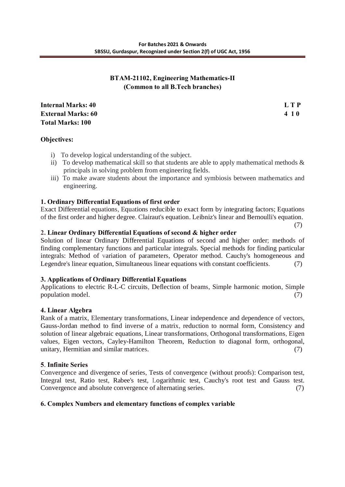# **BTAM-21102, Engineering Mathematics-II (Common to all B.Tech branches)**

| <b>Internal Marks: 40</b> | L T P |
|---------------------------|-------|
| <b>External Marks: 60</b> | 410   |
| <b>Total Marks: 100</b>   |       |

(7)

# **Objectives:**

- i) To develop logical understanding of the subject.
- ii) To develop mathematical skill so that students are able to apply mathematical methods  $\&$ principals in solving problem from engineering fields.
- iii) To make aware students about the importance and symbiosis between mathematics and engineering.

## **1. Ordinary Differential Equations of first order**

Exact Differential equations, Equations reducible to exact form by integrating factors; Equations of the first order and higher degree. Clairaut's equation. Leibniz's linear and Bernoulli's equation.

### **2. Linear Ordinary Differential Equations of second & higher order**

Solution of linear Ordinary Differential Equations of second and higher order; methods of finding complementary functions and particular integrals. Special methods for finding particular integrals: Method of variation of parameters, Operator method. Cauchy's homogeneous and Legendre's linear equation, Simultaneous linear equations with constant coefficients. (7)

### **3. Applications of Ordinary Differential Equations**

Applications to electric R-L-C circuits, Deflection of beams, Simple harmonic motion, Simple population model. (7)

### **4. Linear Algebra**

Rank of a matrix, Elementary transformations, Linear independence and dependence of vectors, Gauss-Jordan method to find inverse of a matrix, reduction to normal form, Consistency and solution of linear algebraic equations, Linear transformations, Orthogonal transformations, Eigen values, Eigen vectors, Cayley-Hamilton Theorem, Reduction to diagonal form, orthogonal, unitary, Hermitian and similar matrices. (7)

### **5**. **Infinite Series**

Convergence and divergence of series, Tests of convergence (without proofs): Comparison test, Integral test, Ratio test, Rabee's test, Logarithmic test, Cauchy's root test and Gauss test. Convergence and absolute convergence of alternating series. (7)

### **6. Complex Numbers and elementary functions of complex variable**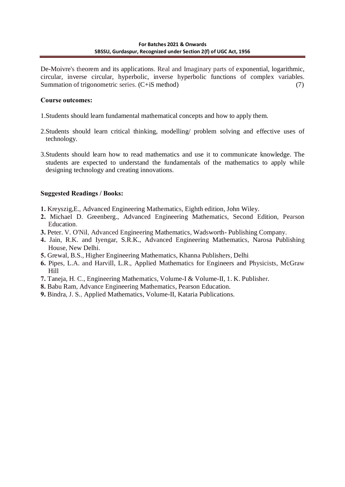De-Moivre's theorem and its applications. Real and Imaginary parts of exponential, logarithmic, circular, inverse circular, hyperbolic, inverse hyperbolic functions of complex variables. Summation of trigonometric series. (C+iS method) (7)

### **Course outcomes:**

- 1.Students should learn fundamental mathematical concepts and how to apply them.
- 2.Students should learn critical thinking, modelling/ problem solving and effective uses of technology.
- 3.Students should learn how to read mathematics and use it to communicate knowledge. The students are expected to understand the fundamentals of the mathematics to apply while designing technology and creating innovations.

## **Suggested Readings / Books:**

- **1.** Kreyszig,E., Advanced Engineering Mathematics, Eighth edition, John Wiley.
- **2.** Michael D. Greenberg., Advanced Engineering Mathematics, Second Edition, Pearson Education.
- **3.** Peter. V. O'Nil, Advanced Engineering Mathematics, Wadsworth- Publishing Company.
- **4.** Jain, R.K. and Iyengar, S.R.K., Advanced Engineering Mathematics, Narosa Publishing House, New Delhi.
- **5.** Grewal, B.S., Higher Engineering Mathematics, Khanna Publishers, Delhi.
- **6.** Pipes, L.A. and Harvill, L.R., Applied Mathematics for Engineers and Physicists, McGraw Hill
- **7.** Taneja, H. C., Engineering Mathematics, Volume-I & Volume-II, 1. K. Publisher.
- **8.** Babu Ram, Advance Engineering Mathematics, Pearson Education.
- **9.** Bindra, J. S., Applied Mathematics, Volume-II, Kataria Publications.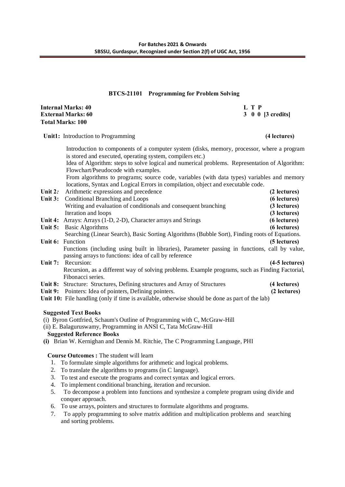#### **8BTCS-21101 Programming for Problem Solving**

| Internal Marks: 40 | LTP               |
|--------------------|-------------------|
| External Marks: 60 | 3 0 0 [3 credits] |
| Total Marks: 100   |                   |

**Unit1:** Introduction to Programming **(4 lectures)**

Introduction to components of a computer system (disks, memory, processor, where a program is stored and executed, operating system, compilers etc.) Idea of Algorithm: steps to solve logical and numerical problems. Representation of Algorithm: Flowchart/Pseudocode with examples. From algorithms to programs; source code, variables (with data types) variables and memory locations, Syntax and Logical Errors in compilation, object and executable code. Unit 2: Arithmetic expressions and precedence (2 **lectures**) **Unit 3:** Conditional Branching and Loops **(6 lectures)** Writing and evaluation of conditionals and consequent branching **(3 lectures)** Iteration and loops **(3 lectures) Unit 4:** Arrays: Arrays (1-D, 2-D), Character arrays and Strings **(6 lectures) Unit 5:** Basic Algorithms **(6 lectures)** Searching (Linear Search), Basic Sorting Algorithms (Bubble Sort), Finding roots of Equations. **Unit 6:** Function **(5 lectures)** Functions (including using built in libraries), Parameter passing in functions, call by value, passing arrays to functions: idea of call by reference Unit 7: Recursion: **(4-5 lectures)** Recursion, as a different way of solving problems. Example programs, such as Finding Factorial, Fibonacci series. **Unit 8:** Structure: Structures, Defining structures and Array of Structures **(4 lectures) Unit 9:** Pointers: Idea of pointers, Defining pointers. **(2 lectures) Unit 10:** File handling (only if time is available, otherwise should be done as part of the lab)

#### **Suggested Text Books**

(i) Byron Gottfried, Schaum's Outline of Programming with C, McGraw-Hill

(ii) E. Balaguruswamy, Programming in ANSI C, Tata McGraw-Hill

#### **Suggested Reference Books**

**(i)** Brian W. Kernighan and Dennis M. Ritchie, The C Programming Language, PHI

**Course Outcomes :** The student will learn

- 1. To formulate simple algorithms for arithmetic and logical problems.
- 2. To translate the algorithms to programs (in C language).
- 3. To test and execute the programs and correct syntax and logical errors.
- 4. To implement conditional branching, iteration and recursion.
- 5. To decompose a problem into functions and synthesize a complete program using divide and conquer approach.
- 6. To use arrays, pointers and structures to formulate algorithms and programs.
- 7. To apply programming to solve matrix addition and multiplication problems and searching and sorting problems.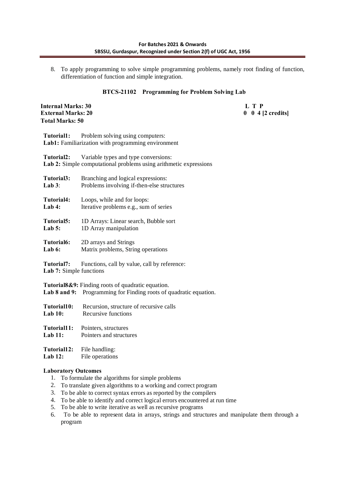8. To apply programming to solve simple programming problems, namely root finding of function, differentiation of function and simple integration.

### **8BTCS-21102 Programming for Problem Solving Lab**

| <b>Internal Marks: 30</b><br><b>External Marks: 20</b><br><b>Total Marks: 50</b> |                                                                                                           | L T P<br>$0 \t0 \t4 [2 \text{ credits}]$ |
|----------------------------------------------------------------------------------|-----------------------------------------------------------------------------------------------------------|------------------------------------------|
| Tutorial1:                                                                       | Problem solving using computers:<br>Lab1: Familiarization with programming environment                    |                                          |
| Tutorial2:                                                                       | Variable types and type conversions:<br>Lab 2: Simple computational problems using arithmetic expressions |                                          |
| Tutorial3:<br>Lab $3$ :                                                          | Branching and logical expressions:<br>Problems involving if-then-else structures                          |                                          |
| Tutorial4:<br>Lab $4:$                                                           | Loops, while and for loops:<br>Iterative problems e.g., sum of series                                     |                                          |
| Tutorial5:<br>Lab $5:$                                                           | 1D Arrays: Linear search, Bubble sort<br>1D Array manipulation                                            |                                          |
| Tutorial6:<br>Lab $6:$                                                           | 2D arrays and Strings<br>Matrix problems, String operations                                               |                                          |
| Tutorial7:<br>Lab 7: Simple functions                                            | Functions, call by value, call by reference:                                                              |                                          |
| Lab $8$ and $9$ :                                                                | Tutorial8&9: Finding roots of quadratic equation.<br>Programming for Finding roots of quadratic equation. |                                          |
| Tutorial10:<br><b>Lab 10:</b>                                                    | Recursion, structure of recursive calls<br>Recursive functions                                            |                                          |
| Tutorial11:<br>Lab $11:$                                                         | Pointers, structures<br>Pointers and structures                                                           |                                          |
| Tutorial12:                                                                      | File handling:                                                                                            |                                          |

**Lab 12:** File operations

#### **Laboratory Outcomes**

- 1. To formulate the algorithms for simple problems
- 2. To translate given algorithms to a working and correct program
- 3. To be able to correct syntax errors as reported by the compilers
- 4. To be able to identify and correct logical errors encountered at run time
- 5. To be able to write iterative as well as recursive programs
- 6. To be able to represent data in arrays, strings and structures and manipulate them through a program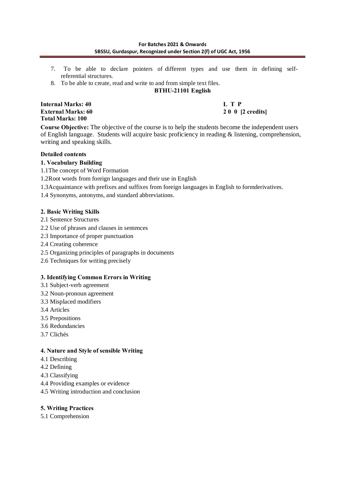- 7. To be able to declare pointers of different types and use them in defining selfreferential structures.
- 8. To be able to create, read and write to and from simple text files.

**BTHU-21101 English**

**Internal Marks: 40 L T P External Marks: 60 2 0 0 [2 credits] Total Marks: 100** 

**Course Objective:** The objective of the course is to help the students become the independent users of English language. Students will acquire basic proficiency in reading & listening, comprehension, writing and speaking skills.

### **Detailed contents**

### **1. Vocabulary Building**

- 1.1The concept of Word Formation
- 1.2Root words from foreign languages and their use in English
- 1.3Acquaintance with prefixes and suffixes from foreign languages in English to formderivatives.
- 1.4 Synonyms, antonyms, and standard abbreviations.

### **2. Basic Writing Skills**

- 2.1 Sentence Structures
- 2.2 Use of phrases and clauses in sentences
- 2.3 Importance of proper punctuation
- 2.4 Creating coherence
- 2.5 Organizing principles of paragraphs in documents
- 2.6 Techniques for writing precisely

### **3. Identifying Common Errors in Writing**

- 3.1 Subject-verb agreement
- 3.2 Noun-pronoun agreement
- 3.3 Misplaced modifiers
- 3.4 Articles
- 3.5 Prepositions
- 3.6 Redundancies
- 3.7 Clichés

### **4. Nature and Style of sensible Writing**

- 4.1 Describing
- 4.2 Defining
- 4.3 Classifying
- 4.4 Providing examples or evidence
- 4.5 Writing introduction and conclusion

### **5. Writing Practices**

5.1 Comprehension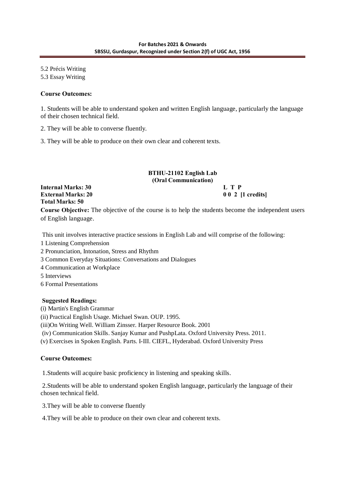5.2 Précis Writing 5.3 Essay Writing

#### **Course Outcomes:**

1. Students will be able to understand spoken and written English language, particularly the language of their chosen technical field.

- 2. They will be able to converse fluently.
- 3. They will be able to produce on their own clear and coherent texts.

## **BTHU-21102 English Lab (Oral Communication)**

**Internal Marks: 30 L T P External Marks: 20 0 0 2 [1 credits] Total Marks: 50 Course Objective:** The objective of the course is to help the students become the independent users of English language.

This unit involves interactive practice sessions in English Lab and will comprise of the following:

- 1 Listening Comprehension
- 2 Pronunciation, Intonation, Stress and Rhythm
- 3 Common Everyday Situations: Conversations and Dialogues
- 4 Communication at Workplace
- 5 Interviews
- 6 Formal Presentations

#### **Suggested Readings:**

(i) Martin's English Grammar

(ii) Practical English Usage. Michael Swan. OUP. 1995.

(iii)On Writing Well. William Zinsser. Harper Resource Book. 2001

(iv) Communication Skills. Sanjay Kumar and PushpLata. Oxford University Press. 2011.

(v) Exercises in Spoken English. Parts. I-III. CIEFL, Hyderabad. Oxford University Press

### **Course Outcomes:**

1.Students will acquire basic proficiency in listening and speaking skills.

2.Students will be able to understand spoken English language, particularly the language of their chosen technical field.

3.They will be able to converse fluently

4.They will be able to produce on their own clear and coherent texts.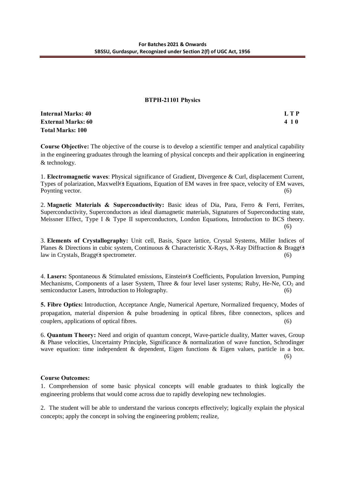#### **BTPH-21101 Physics**

| <b>Internal Marks: 40</b> | L T P |
|---------------------------|-------|
| <b>External Marks: 60</b> | 4 1 0 |
| <b>Total Marks: 100</b>   |       |

**Course Objective:** The objective of the course is to develop a scientific temper and analytical capability in the engineering graduates through the learning of physical concepts and their application in engineering & technology.

1. **Electromagnetic waves**: Physical significance of Gradient, Divergence & Curl, displacement Current, Types of polarization, Maxwell s Equations, Equation of EM waves in free space, velocity of EM waves, Poynting vector. (6)

2. **Magnetic Materials & Superconductivity:** Basic ideas of Dia, Para, Ferro & Ferri, Ferrites, Superconductivity, Superconductors as ideal diamagnetic materials, Signatures of Superconducting state, Meissner Effect, Type I & Type II superconductors, London Equations, Introduction to BCS theory. (6)

3. **Elements of Crystallography:** Unit cell, Basis, Space lattice, Crystal Systems, Miller Indices of Planes & Directions in cubic system, Continuous & Characteristic X-Rays, X-Ray Diffraction & Bragg s law in Crystals, Bragg s spectrometer. (6)

4. **Lasers:** Spontaneous & Stimulated emissions, Einstein s Coefficients, Population Inversion, Pumping Mechanisms, Components of a laser System, Three & four level laser systems; Ruby, He-Ne,  $CO<sub>2</sub>$  and semiconductor Lasers, Introduction to Holography. (6)

**5. Fibre Optics:** Introduction, Acceptance Angle, Numerical Aperture, Normalized frequency, Modes of propagation, material dispersion & pulse broadening in optical fibres, fibre connectors, splices and couplers, applications of optical fibres. (6)

6. **Quantum Theory:** Need and origin of quantum concept, Wave-particle duality, Matter waves, Group & Phase velocities, Uncertainty Principle, Significance & normalization of wave function, Schrodinger wave equation: time independent & dependent, Eigen functions & Eigen values, particle in a box. (6)

#### **Course Outcomes:**

1. Comprehension of some basic physical concepts will enable graduates to think logically the engineering problems that would come across due to rapidly developing new technologies.

2. The student will be able to understand the various concepts effectively; logically explain the physical concepts; apply the concept in solving the engineering problem; realize,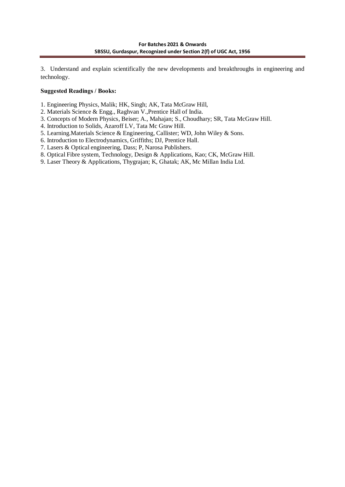3. Understand and explain scientifically the new developments and breakthroughs in engineering and technology.

### **Suggested Readings / Books:**

- 1. Engineering Physics, Malik; HK, Singh; AK, Tata McGraw Hill,
- 2. Materials Science & Engg., Raghvan V.,Prentice Hall of India.
- 3. Concepts of Modern Physics, Beiser; A., Mahajan; S., Choudhary; SR, Tata McGraw Hill.
- 4. Introduction to Solids, Azaroff LV, Tata Mc Graw Hill.
- 5. Learning.Materials Science & Engineering, Callister; WD, John Wiley & Sons.
- 6. Introduction to Electrodynamics, Griffiths; DJ, Prentice Hall.
- 7. Lasers & Optical engineering, Dass; P, Narosa Publishers.
- 8. Optical Fibre system, Technology, Design & Applications, Kao; CK, McGraw Hill.
- 9. Laser Theory & Applications, Thygrajan; K, Ghatak; AK, Mc Millan India Ltd.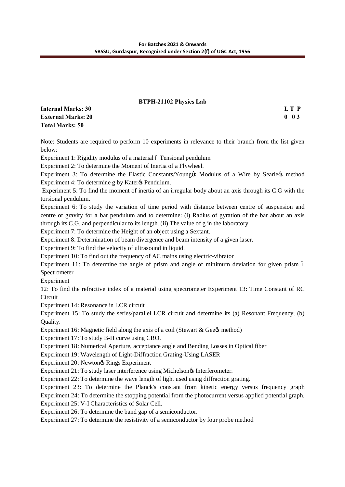#### **BTPH-21102 Physics Lab**

| Internal Marks: 30 | LT P              |
|--------------------|-------------------|
| External Marks: 20 | $0\quad 0\quad 3$ |
| Total Marks: 50    |                   |

Note: Students are required to perform 10 experiments in relevance to their branch from the list given below:

Experiment 1: Rigidity modulus of a material ó Tensional pendulum

Experiment 2: To determine the Moment of Inertia of a Flywheel.

Experiment 3: To determine the Elastic Constants/Young & Modulus of a Wire by Searle  $\alpha$  method Experiment 4: To determine g by Kater $\alpha$  Pendulum.

Experiment 5: To find the moment of inertia of an irregular body about an axis through its C.G with the torsional pendulum.

Experiment 6: To study the variation of time period with distance between centre of suspension and centre of gravity for a bar pendulum and to determine: (i) Radius of gyration of the bar about an axis through its C.G. and perpendicular to its length. (ii) The value of g in the laboratory.

Experiment 7: To determine the Height of an object using a Sextant.

Experiment 8: Determination of beam divergence and beam intensity of a given laser.

Experiment 9: To find the velocity of ultrasound in liquid.

Experiment 10: To find out the frequency of AC mains using electric-vibrator

Experiment 11: To determine the angle of prism and angle of minimum deviation for given prism 6 Spectrometer

Experiment

12: To find the refractive index of a material using spectrometer Experiment 13: Time Constant of RC **Circuit** 

Experiment 14: Resonance in LCR circuit

Experiment 15: To study the series/parallel LCR circuit and determine its (a) Resonant Frequency, (b) Quality.

Experiment 16: Magnetic field along the axis of a coil (Stewart  $\&$  Gee $\&$  method)

Experiment 17: To study B-H curve using CRO.

Experiment 18: Numerical Aperture, acceptance angle and Bending Losses in Optical fiber

Experiment 19: Wavelength of Light-Diffraction Grating-Using LASER

Experiment 20: Newtongs Rings Experiment

Experiment 21: To study laser interference using Michelson & Interferometer.

Experiment 22: To determine the wave length of light used using diffraction grating.

Experiment 23: To determine the Planck's constant from kinetic energy versus frequency graph

Experiment 24: To determine the stopping potential from the photocurrent versus applied potential graph.

Experiment 25: V-I Characteristics of Solar Cell.

Experiment 26: To determine the band gap of a semiconductor.

Experiment 27: To determine the resistivity of a semiconductor by four probe method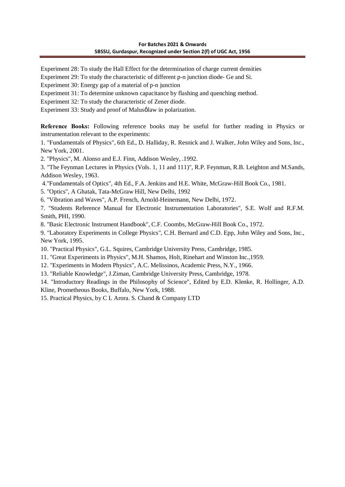Experiment 28: To study the Hall Effect for the determination of charge current densities

Experiment 29: To study the characteristic of different p-n junction diode- Ge and Si.

Experiment 30: Energy gap of a material of p-n junction

Experiment 31: To determine unknown capacitance by flashing and quenching method.

Experiment 32: To study the characteristic of Zener diode.

Experiment 33: Study and proof of Malusølaw in polarization.

**Reference Books:** Following reference books may be useful for further reading in Physics or instrumentation relevant to the experiments:

1. "Fundamentals of Physics", 6th Ed., D. Halliday, R. Resnick and J. Walker, John Wiley and Sons, Inc., New York, 2001.

2. "Physics", M. Alonso and E.J. Finn, Addison Wesley, .1992.

3. "The Feynman Lectures in Physics (Vols. 1, 11 and 111)", R.P. Feynman, R.B. Leighton and M.Sands, Addison Wesley, 1963.

4."Fundamentals of Optics", 4th Ed., F.A. Jenkins and H.E. White, McGraw-Hill Book Co., 1981.

5. "Optics", A Ghatak, Tata-McGraw Hill, New Delhi, 1992

6. "Vibration and Waves", A.P. French, Arnold-Heinemann, New Delhi, 1972.

7. "Students Reference Manual for Electronic Instrumentation Laboratories", S.E. Wolf and R.F.M. Smith, PHI, 1990.

8. "Basic Electronic Instrument Handbook", C.F. Coombs, McGraw-Hill Book Co., 1972.

9. "Laboratory Experiments in College Physics", C.H. Bernard and C.D. Epp, John Wiley and Sons, Inc., New York, 1995.

10. "Practical Physics", G.L. Squires, Cambridge University Press, Cambridge, 1985.

11. "Great Experiments in Physics", M.H. Shamos, Holt, Rinehart and Winston Inc.,1959.

12. "Experiments in Modern Physics", A.C. Melissinos, Academic Press, N.Y., 1966.

13. "Reliable Knowledge", J.Ziman, Cambridge University Press, Cambridge, 1978.

14. "Introductory Readings in the Philosophy of Science", Edited by E.D. Klenke, R. Hollinger, A.D. Kline, Prometheous Books, Buffalo, New York, 1988.

15. Practical Physics, by C L Arora. S. Chand & Company LTD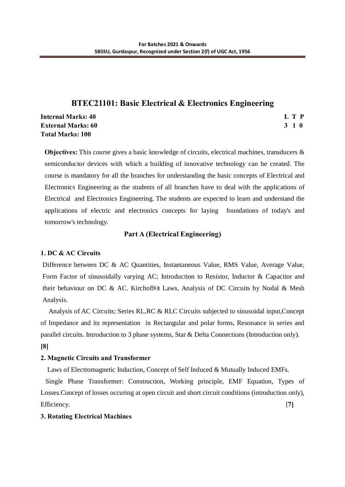# **BTEC21101: Basic Electrical & Electronics Engineering**

**Internal Marks: 40 L T P L L L L L L L L L L L L L L L L External Marks: 60 3 1 0 Total Marks: 100**

**Objectives:** This course gives a basic knowledge of circuits, electrical machines, transducers & semiconductor devices with which a building of innovative technology can be created. The course is mandatory for all the branches for understanding the basic concepts of Electrical and Electronics Engineering as the students of all branches have to deal with the applications of Electrical and Electronics Engineering. The students are expected to learn and understand the applications of electric and electronics concepts for laying foundations of today's and tomorrow's technology.

# **Part A (Electrical Engineering)**

# **1. DC & AC Circuits**

Difference between DC & AC Quantities, Instantaneous Value, RMS Value, Average Value, Form Factor of sinusoidally varying AC; Introduction to Resistor, Inductor & Capacitor and their behaviour on DC & AC. Kirchoff s Laws, Analysis of DC Circuits by Nodal & Mesh Analysis.

 Analysis of AC Circuits; Series RL,RC & RLC Circuits subjected to sinusoidal input,Concept of Impedance and its representation in Rectangular and polar forms, Resonance in series and parallel circuits. Introduction to 3 phase systems, Star & Delta Connections (Introduction only). **[8]**

# **2. Magnetic Circuits and Transformer**

Laws of Electromagnetic Induction, Concept of Self Induced & Mutually Induced EMFs.

 Single Phase Transformer: Construction, Working principle, EMF Equation, Types of Losses.Concept of losses occuring at open circuit and short circuit conditions (introduction only), Efficiency. [**7]**

### **3. Rotating Electrical Machines**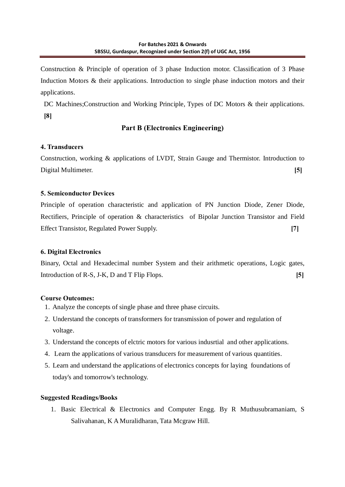Construction & Principle of operation of 3 phase Induction motor. Classification of 3 Phase Induction Motors & their applications. Introduction to single phase induction motors and their applications.

DC Machines; Construction and Working Principle, Types of DC Motors & their applications. **[8]**

# **Part B (Electronics Engineering)**

# **4. Transducers**

Construction, working & applications of LVDT, Strain Gauge and Thermistor. Introduction to Digital Multimeter. **[5]**

# **5. Semiconductor Devices**

Principle of operation characteristic and application of PN Junction Diode, Zener Diode, Rectifiers, Principle of operation & characteristics of Bipolar Junction Transistor and Field Effect Transistor, Regulated Power Supply. **[7]**

# **6. Digital Electronics**

Binary, Octal and Hexadecimal number System and their arithmetic operations, Logic gates, Introduction of R-S, J-K, D and T Flip Flops. **[5]** 

# **Course Outcomes:**

- 1. Analyze the concepts of single phase and three phase circuits.
- 2. Understand the concepts of transformers for transmission of power and regulation of voltage.
- 3. Understand the concepts of elctric motors for various indusrtial and other applications.
- 4. Learn the applications of various transducers for measurement of various quantities.
- 5. Learn and understand the applications of electronics concepts for laying foundations of today's and tomorrow's technology.

# **Suggested Readings/Books**

1. Basic Electrical & Electronics and Computer Engg. By R Muthusubramaniam, S Salivahanan, K A Muralidharan, Tata Mcgraw Hill.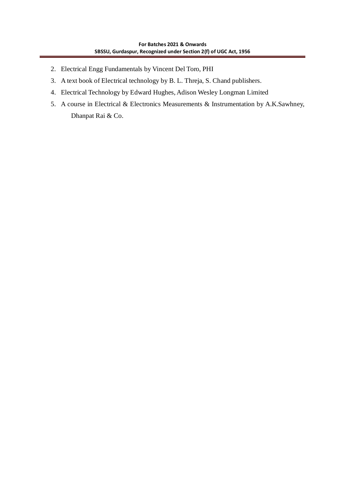- 2. Electrical Engg Fundamentals by Vincent Del Toro, PHI
- 3. A text book of Electrical technology by B. L. Threja, S. Chand publishers.
- 4. Electrical Technology by Edward Hughes, Adison Wesley Longman Limited
- 5. A course in Electrical & Electronics Measurements & Instrumentation by A.K.Sawhney, Dhanpat Rai & Co.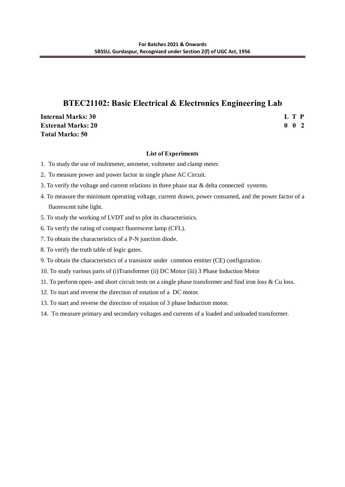# **BTEC21102: Basic Electrical & Electronics Engineering Lab**

**Internal Marks: 30 L T P External Marks: 20 0 0 2 Total Marks: 50**

#### **List of Experiments**

- 1.To study the use of multimeter, ammeter, voltmeter and clamp meter.
- 2**.** To measure power and power factor in single phase AC Circuit.
- 3. To verify the voltage and current relations in three phase star & delta connected systems.
- 4. To measure the minimum operating voltage, current drawn, power consumed, and the power factor of a fluorescent tube light.
- 5. To study the working of LVDT and to plot its characteristics.
- 6. To verify the rating of compact fluorescent lamp (CFL).
- 7. To obtain the characteristics of a P-N junction diode.
- 8. To verify the truth table of logic gates.
- 9. To obtain the characteristics of a transistor under common emitter (CE) configuration.
- 10. To study various parts of (i)Transformer (ii) DC Motor (iii) 3 Phase Induction Motor
- 11. To perform open- and short circuit tests on a single phase transformer and find iron loss & Cu loss.
- 12. To start and reverse the direction of rotation of a DC motor.
- 13. To start and reverse the direction of rotation of 3 phase Induction motor.
- 14. To measure primary and secondary voltages and currents of a loaded and unloaded transformer.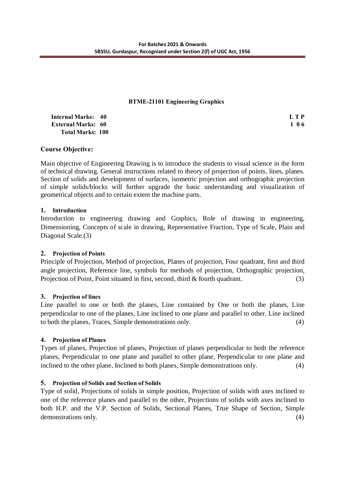### **BTME-21101 Engineering Graphics**

| <b>Internal Marks: 40</b> | L T P |
|---------------------------|-------|
| <b>External Marks: 60</b> | 106   |
| <b>Total Marks: 100</b>   |       |

## **Course Objective:**

Main objective of Engineering Drawing is to introduce the students to visual science in the form of technical drawing. General instructions related to theory of projection of points, lines, planes. Section of solids and development of surfaces, isometric projection and orthographic projection of simple solids/blocks will further upgrade the basic understanding and visualization of geometrical objects and to certain extent the machine parts.

### **1. Introduction**

Introduction to engineering drawing and Graphics, Role of drawing in engineering, Dimensioning, Concepts of scale in drawing, Representative Fraction, Type of Scale, Plain and Diagonal Scale.(3)

### **2. Projection of Points**

Principle of Projection, Method of projection, Planes of projection, Four quadrant, first and third angle projection, Reference line, symbols for methods of projection, Orthographic projection, Projection of Point, Point situated in first, second, third & fourth quadrant. (3)

### **3. Projection of lines**

Line parallel to one or both the planes, Line contained by One or both the planes, Line perpendicular to one of the planes, Line inclined to one plane and parallel to other. Line inclined to both the planes, Traces, Simple demonstrations only. (4)

### **4. Projection of Planes**

Types of planes, Projection of planes, Projection of planes perpendicular to both the reference planes, Perpendicular to one plane and parallel to other plane, Perpendicular to one plane and inclined to the other plane, Inclined to both planes, Simple demonstrations only. (4)

### **5. Projection of Solids and Section of Solids**

Type of solid, Projections of solids in simple position, Projection of solids with axes inclined to one of the reference planes and parallel to the other, Projections of solids with axes inclined to both H.P. and the V.P. Section of Solids, Sectional Planes, True Shape of Section, Simple demonstrations only. (4)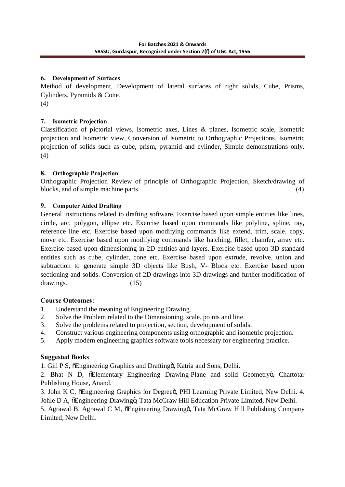## **6. Development of Surfaces**

Method of development, Development of lateral surfaces of right solids, Cube, Prisms, Cylinders, Pyramids & Cone.

(4)

# **7. Isometric Projection**

Classification of pictorial views, Isometric axes, Lines & planes, Isometric scale, Isometric projection and Isometric view, Conversion of Isometric to Orthographic Projections. Isometric projection of solids such as cube, prism, pyramid and cylinder, Simple demonstrations only. (4)

# **8. Orthographic Projection**

Orthographic Projection Review of principle of Orthographic Projection, Sketch/drawing of blocks, and of simple machine parts. (4)

# **9. Computer Aided Drafting**

General instructions related to drafting software, Exercise based upon simple entities like lines, circle, arc, polygon, ellipse etc. Exercise based upon commands like polyline, spline, ray, reference line etc, Exercise based upon modifying commands like extend, trim, scale, copy, move etc. Exercise based upon modifying commands like hatching, fillet, chamfer, array etc. Exercise based upon dimensioning in 2D entities and layers. Exercise based upon 3D standard entities such as cube, cylinder, cone etc. Exercise based upon extrude, revolve, union and subtraction to generate simple 3D objects like Bush, V- Block etc. Exercise based upon sectioning and solids. Conversion of 2D drawings into 3D drawings and further modification of drawings. (15)

# **Course Outcomes:**

- 1. Understand the meaning of Engineering Drawing.
- 2. Solve the Problem related to the Dimensioning, scale, points and line.
- 3. Solve the problems related to projection, section, development of solids.
- 4. Construct various engineering components using orthographic and isometric projection.
- 5. Apply modern engineering graphics software tools necessary for engineering practice.

# **Suggested Books**

1. Gill P S,  $\delta$ Engineering Graphics and Draftingö, Katria and Sons, Delhi.

2. Bhat N D, öElementary Engineering Drawing-Plane and solid Geometryö, Chartotar Publishing House, Anand.

3. John K C,  $\tilde{o}$ Engineering Graphics for Degreeö, PHI Learning Private Limited, New Delhi. 4. Johle D A,  $\delta$ Engineering Drawingö, Tata McGraw Hill Education Private Limited, New Delhi.

5. Agrawal B, Agrawal C M,  $\delta$ Engineering Drawing $\delta$ , Tata McGraw Hill Publishing Company Limited, New Delhi.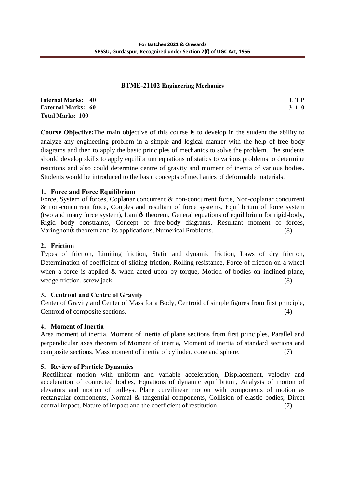#### **BTME-21102 Engineering Mechanics**

| <b>Internal Marks: 40</b> | L T P |
|---------------------------|-------|
| <b>External Marks: 60</b> | 3 1 0 |
| <b>Total Marks: 100</b>   |       |

**Course Objective:**The main objective of this course is to develop in the student the ability to analyze any engineering problem in a simple and logical manner with the help of free body diagrams and then to apply the basic principles of mechanics to solve the problem. The students should develop skills to apply equilibrium equations of statics to various problems to determine reactions and also could determine centre of gravity and moment of inertia of various bodies. Students would be introduced to the basic concepts of mechanics of deformable materials.

# **1. Force and Force Equilibrium**

Force, System of forces, Coplanar concurrent & non-concurrent force, Non-coplanar concurrent & non-concurrent force, Couples and resultant of force systems, Equilibrium of force system (two and many force system), Lami $\alpha$  theorem, General equations of equilibrium for rigid-body, Rigid body constraints, Concept of free-body diagrams, Resultant moment of forces, Varingnon $\phi$  theorem and its applications, Numerical Problems. (8)

# **2. Friction**

Types of friction, Limiting friction, Static and dynamic friction, Laws of dry friction, Determination of coefficient of sliding friction, Rolling resistance, Force of friction on a wheel when a force is applied & when acted upon by torque, Motion of bodies on inclined plane, wedge friction, screw jack. (8)

### **3. Centroid and Centre of Gravity**

Center of Gravity and Center of Mass for a Body, Centroid of simple figures from first principle, Centroid of composite sections. (4)

# **4. Moment of Inertia**

Area moment of inertia, Moment of inertia of plane sections from first principles, Parallel and perpendicular axes theorem of Moment of inertia, Moment of inertia of standard sections and composite sections, Mass moment of inertia of cylinder, cone and sphere. (7)

# **5. Review of Particle Dynamics**

Rectilinear motion with uniform and variable acceleration, Displacement, velocity and acceleration of connected bodies, Equations of dynamic equilibrium, Analysis of motion of elevators and motion of pulleys. Plane curvilinear motion with components of motion as rectangular components, Normal & tangential components, Collision of elastic bodies; Direct central impact, Nature of impact and the coefficient of restitution. (7)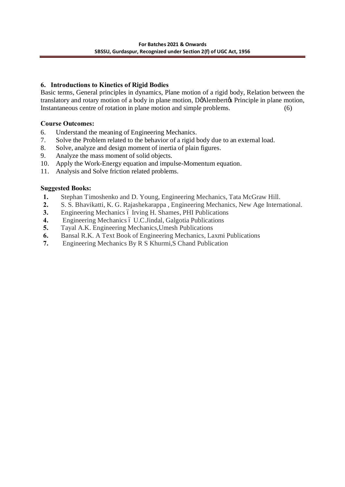# **6. Introductions to Kinetics of Rigid Bodies**

Basic terms, General principles in dynamics, Plane motion of a rigid body, Relation between the translatory and rotary motion of a body in plane motion, DoAlembertos Principle in plane motion, Instantaneous centre of rotation in plane motion and simple problems. (6)

# **Course Outcomes:**

- 6. Understand the meaning of Engineering Mechanics.
- 7. Solve the Problem related to the behavior of a rigid body due to an external load.
- 8. Solve, analyze and design moment of inertia of plain figures.
- 9. Analyze the mass moment of solid objects.
- 10. Apply the Work-Energy equation and impulse-Momentum equation.
- 11. Analysis and Solve friction related problems.

## **Suggested Books:**

- **1.** Stephan Timoshenko and D. Young, Engineering Mechanics, Tata McGraw Hill.
- **2.** S. S. Bhavikatti, K. G. Rajashekarappa , Engineering Mechanics, New Age International.
- **3.** Engineering Mechanics 6 Irving H. Shames, PHI Publications
- **4.** Engineering Mechanics 6 U.C.Jindal, Galgotia Publications
- **5.** Tayal A.K. Engineering Mechanics,Umesh Publications
- **6.** Bansal R.K. A Text Book of Engineering Mechanics, Laxmi Publications
- **7.** Engineering Mechanics By R S Khurmi,S Chand Publication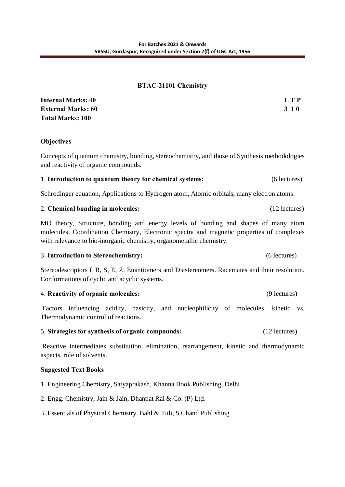### **BTAC-21101 Chemistry**

| <b>Internal Marks: 40</b> | L T P       |
|---------------------------|-------------|
| <b>External Marks: 60</b> | <b>3</b> 10 |
| <b>Total Marks: 100</b>   |             |

### **Objectives**

Concepts of quantum chemistry, bonding, stereochemistry, and those of Synthesis methodologies and reactivity of organic compounds.

### 1. **Introduction to quantum theory for chemical systems:** (6 lectures)

Schrodinger equation, Applications to Hydrogen atom, Atomic orbitals, many electron atoms.

#### 2. **Chemical bonding in molecules:** (12 lectures)

MO theory, Structure, bonding and energy levels of bonding and shapes of many atom molecules, Coordination Chemistry, Electronic spectra and magnetic properties of complexes with relevance to bio-inorganic chemistry, organometallic chemistry.

#### 3. **Introduction to Stereochemistry:** (6 lectures)

Stereodescriptors 6 R, S, E, Z. Enantiomers and Diastereomers. Racemates and their resolution. Conformations of cyclic and acyclic systems.

#### 4. **Reactivity of organic molecules:** (9 lectures)

Factors influencing acidity, basicity, and nucleophilicity of molecules, kinetic vs. Thermodynamic control of reactions.

### 5. **Strategies for synthesis of organic compounds:** (12 lectures)

Reactive intermediates substitution, elimination, rearrangement, kinetic and thermodynamic aspects, role of solvents.

### **Suggested Text Books**

- 1. Engineering Chemistry, Satyaprakash, Khanna Book Publishing, Delhi
- 2. Engg. Chemistry, Jain & Jain, Dhanpat Rai & Co. (P) Ltd.
- 3..Essentials of Physical Chemistry, Bahl & Tuli, S.Chand Publishing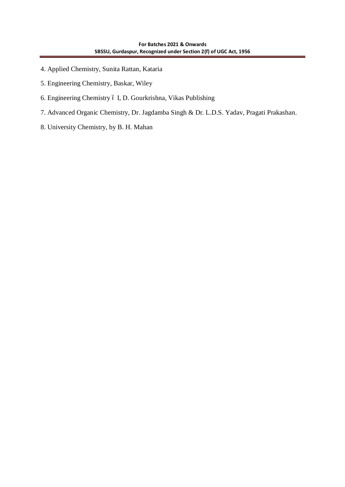- 4. Applied Chemistry, Sunita Rattan, Kataria
- 5. Engineering Chemistry, Baskar, Wiley
- 6. Engineering Chemistry ó I, D. Gourkrishna, Vikas Publishing
- 7. Advanced Organic Chemistry, Dr. Jagdamba Singh & Dr. L.D.S. Yadav, Pragati Prakashan.
- 8. University Chemistry, by B. H. Mahan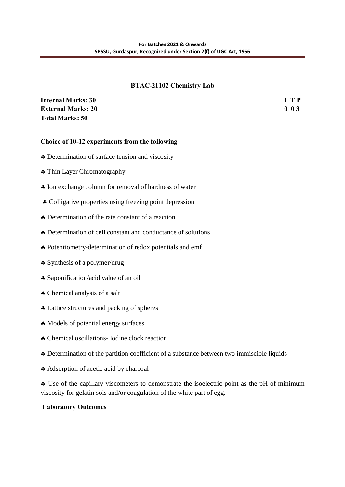### **BTAC-21102 Chemistry Lab**

| <b>Internal Marks: 30</b> | L T P           |
|---------------------------|-----------------|
| <b>External Marks: 20</b> | 0 <sub>03</sub> |
| <b>Total Marks: 50</b>    |                 |

## **Choice of 10-12 experiments from the following**

- ß Determination of surface tension and viscosity
- Thin Layer Chromatography
- ß Ion exchange column for removal of hardness of water
- Colligative properties using freezing point depression
- Determination of the rate constant of a reaction
- ß Determination of cell constant and conductance of solutions
- ß Potentiometry-determination of redox potentials and emf
- ß Synthesis of a polymer/drug
- ß Saponification/acid value of an oil
- ß Chemical analysis of a salt
- ß Lattice structures and packing of spheres
- ß Models of potential energy surfaces
- ß Chemical oscillations- Iodine clock reaction
- ß Determination of the partition coefficient of a substance between two immiscible liquids
- ß Adsorption of acetic acid by charcoal

ß Use of the capillary viscometers to demonstrate the isoelectric point as the pH of minimum viscosity for gelatin sols and/or coagulation of the white part of egg.

### **Laboratory Outcomes**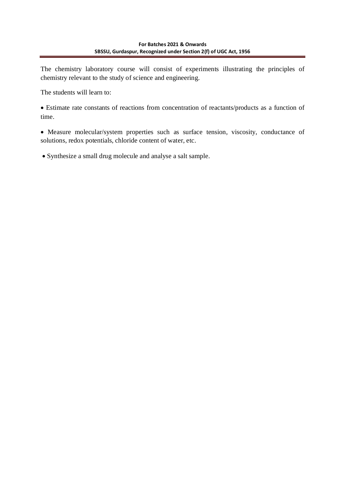The chemistry laboratory course will consist of experiments illustrating the principles of chemistry relevant to the study of science and engineering.

The students will learn to:

· Estimate rate constants of reactions from concentration of reactants/products as a function of time.

· Measure molecular/system properties such as surface tension, viscosity, conductance of solutions, redox potentials, chloride content of water, etc.

· Synthesize a small drug molecule and analyse a salt sample.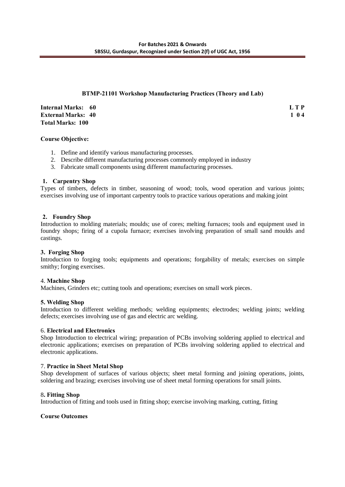### **BTMP-21101 Workshop Manufacturing Practices (Theory and Lab)**

**Internal Marks:** 60 **L T P L L I External Marks:** 40 **1 0 4 1 0 4 1 0 4 1 0 4 1 0 4 1 1 0 4 1 1 0 4 1 1 0 4 1 1 0 4 1 1 0 4 1 1 0 4 1 1 0 4 1 1 0 4 1 1 0 4 1 1 0 4 1 1 0 4 1 1 0 4 1 1 0 4 1 1 0 4 1 1 0 4 1 1 0 4 Total Marks: 100** 

#### **Course Objective:**

- 1. Define and identify various manufacturing processes.
- 2. Describe different manufacturing processes commonly employed in industry
- 3. Fabricate small components using different manufacturing processes.

#### **1. Carpentry Shop**

Types of timbers, defects in timber, seasoning of wood; tools, wood operation and various joints; exercises involving use of important carpentry tools to practice various operations and making joint

#### **2. Foundry Shop**

Introduction to molding materials; moulds; use of cores; melting furnaces; tools and equipment used in foundry shops; firing of a cupola furnace; exercises involving preparation of small sand moulds and castings.

#### **3. Forging Shop**

Introduction to forging tools; equipments and operations; forgability of metals; exercises on simple smithy; forging exercises.

#### 4. **Machine Shop**

Machines, Grinders etc; cutting tools and operations; exercises on small work pieces.

#### **5. Welding Shop**

Introduction to different welding methods; welding equipments; electrodes; welding joints; welding defects; exercises involving use of gas and electric arc welding.

#### 6. **Electrical and Electronics**

Shop Introduction to electrical wiring; preparation of PCBs involving soldering applied to electrical and electronic applications; exercises on preparation of PCBs involving soldering applied to electrical and electronic applications.

#### 7. **Practice in Sheet Metal Shop**

Shop development of surfaces of various objects; sheet metal forming and joining operations, joints, soldering and brazing; exercises involving use of sheet metal forming operations for small joints.

#### 8**. Fitting Shop**

Introduction of fitting and tools used in fitting shop; exercise involving marking, cutting, fitting

#### **Course Outcomes**